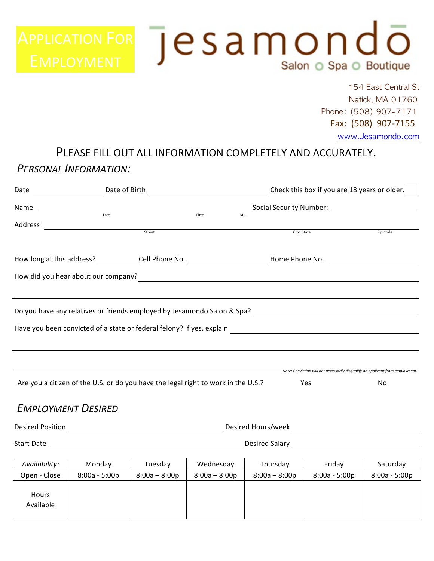# APPLICATION FOR  $\overline{P}$ esamon $\overline{P}$ Salon O Spa O Boutique

154 East Central St Natick, MA 01760 Phone: (508) 907-7171 Fax: (508) 907-7155

#### www.Jesamondo.com

# PLEASE FILL OUT ALL INFORMATION COMPLETELY AND ACCURATELY.

#### **PERSONAL INFORMATION:**

|         | Date of Birth                                                                                                                                                                                                                         |                                 | Check this box if you are 18 years or older.                                   |  |  |  |  |
|---------|---------------------------------------------------------------------------------------------------------------------------------------------------------------------------------------------------------------------------------------|---------------------------------|--------------------------------------------------------------------------------|--|--|--|--|
| Name    | $\begin{array}{c c}\n\hline\n\text{Last}\n\end{array}$<br>First                                                                                                                                                                       | Social Security Number:<br>M.I. |                                                                                |  |  |  |  |
| Address |                                                                                                                                                                                                                                       |                                 |                                                                                |  |  |  |  |
|         | Street                                                                                                                                                                                                                                | City, State                     | Zip Code                                                                       |  |  |  |  |
|         | How long at this address? _____________Cell Phone No. __________________________Home Phone No. ______________                                                                                                                         |                                 |                                                                                |  |  |  |  |
|         | How did you hear about our company?<br><u> Letting and the company</u> contract the company of the contract of the contract of the contract of the contract of the contract of the contract of the contract of the contract of the co |                                 |                                                                                |  |  |  |  |
|         |                                                                                                                                                                                                                                       |                                 |                                                                                |  |  |  |  |
|         |                                                                                                                                                                                                                                       |                                 |                                                                                |  |  |  |  |
|         |                                                                                                                                                                                                                                       |                                 |                                                                                |  |  |  |  |
|         |                                                                                                                                                                                                                                       |                                 |                                                                                |  |  |  |  |
|         |                                                                                                                                                                                                                                       |                                 |                                                                                |  |  |  |  |
|         |                                                                                                                                                                                                                                       |                                 | Note: Conviction will not necessarily disqualify an applicant from employment. |  |  |  |  |
|         | Are you a citizen of the U.S. or do you have the legal right to work in the U.S.?                                                                                                                                                     | Yes                             | No                                                                             |  |  |  |  |

#### **EMPLOYMENT DESIRED**

| <b>Desired Position</b> | Desired Hours/week |  |
|-------------------------|--------------------|--|
|                         |                    |  |

Start Date **Desired** Salary **Desired** Salary **Desired** Salary

| Availability:      | Monday          | Tuesday         | Wednesday       | Thursday        | Fridav          | Saturday        |
|--------------------|-----------------|-----------------|-----------------|-----------------|-----------------|-----------------|
| Open - Close       | $8:00a - 5:00p$ | $8:00a - 8:00p$ | $8:00a - 8:00p$ | $8:00a - 8:00p$ | $8:00a - 5:00p$ | $8:00a - 5:00p$ |
| Hours<br>Available |                 |                 |                 |                 |                 |                 |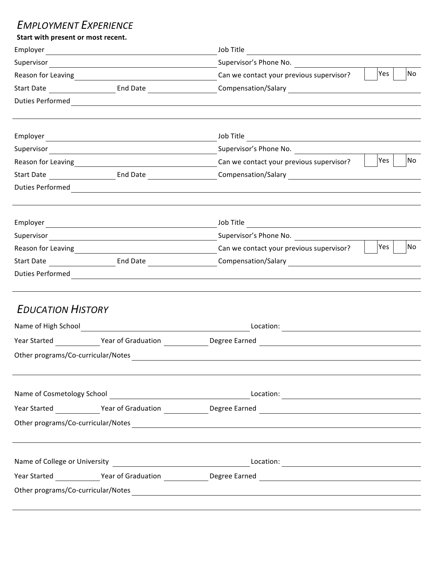### **EMPLOYMENT EXPERIENCE**

| Start with present or most recent. |                                                                                                                                                                                                                                |  |  |  |  |
|------------------------------------|--------------------------------------------------------------------------------------------------------------------------------------------------------------------------------------------------------------------------------|--|--|--|--|
|                                    | Job Title                                                                                                                                                                                                                      |  |  |  |  |
|                                    |                                                                                                                                                                                                                                |  |  |  |  |
|                                    | Yes  <br>No                                                                                                                                                                                                                    |  |  |  |  |
|                                    | Start Date __________________________End Date ______________________Compensation/Salary ______________________                                                                                                                 |  |  |  |  |
|                                    |                                                                                                                                                                                                                                |  |  |  |  |
|                                    |                                                                                                                                                                                                                                |  |  |  |  |
|                                    |                                                                                                                                                                                                                                |  |  |  |  |
|                                    | Yes<br><b>No</b>                                                                                                                                                                                                               |  |  |  |  |
|                                    | Start Date _________________________End Date _______________________Compensation/Salary ______________________                                                                                                                 |  |  |  |  |
|                                    |                                                                                                                                                                                                                                |  |  |  |  |
|                                    |                                                                                                                                                                                                                                |  |  |  |  |
|                                    |                                                                                                                                                                                                                                |  |  |  |  |
|                                    | No<br>Yes                                                                                                                                                                                                                      |  |  |  |  |
|                                    |                                                                                                                                                                                                                                |  |  |  |  |
|                                    |                                                                                                                                                                                                                                |  |  |  |  |
| <b>EDUCATION HISTORY</b>           |                                                                                                                                                                                                                                |  |  |  |  |
|                                    |                                                                                                                                                                                                                                |  |  |  |  |
|                                    |                                                                                                                                                                                                                                |  |  |  |  |
|                                    | Other programs/Co-curricular/Notes                                                                                                                                                                                             |  |  |  |  |
|                                    |                                                                                                                                                                                                                                |  |  |  |  |
|                                    |                                                                                                                                                                                                                                |  |  |  |  |
|                                    | Year Started _______________Year of Graduation _______________Degree Earned __________________________________                                                                                                                 |  |  |  |  |
|                                    |                                                                                                                                                                                                                                |  |  |  |  |
|                                    |                                                                                                                                                                                                                                |  |  |  |  |
|                                    |                                                                                                                                                                                                                                |  |  |  |  |
|                                    | Other programs/Co-curricular/Notes example and the control of the control of the control of the control of the control of the control of the control of the control of the control of the control of the control of the contro |  |  |  |  |
|                                    |                                                                                                                                                                                                                                |  |  |  |  |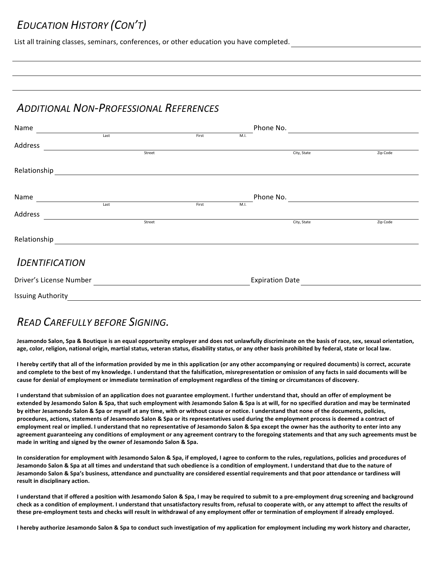## **EDUCATION HISTORY (CON'T)**

List all training classes, seminars, conferences, or other education you have completed.

#### **ADDITIONAL NON-PROFESSIONAL REFERENCES**

| Name                    |      |        |       |      | Phone No.              |          |
|-------------------------|------|--------|-------|------|------------------------|----------|
|                         | Last |        | First | M.I. |                        |          |
| Address                 |      |        |       |      |                        |          |
|                         |      | Street |       |      | City, State            | Zip Code |
| Relationship            |      |        |       |      |                        |          |
| Name                    |      |        |       |      | Phone No.              |          |
|                         | Last |        | First | M.I. |                        |          |
| Address                 |      |        |       |      |                        |          |
|                         |      | Street |       |      | City, State            | Zip Code |
| Relationship            |      |        |       |      |                        |          |
| <b>IDENTIFICATION</b>   |      |        |       |      |                        |          |
| Driver's License Number |      |        |       |      | <b>Expiration Date</b> |          |

**Issuing Authority** 

## *READ)CAREFULLY)BEFORE)SIGNING.*

Jesamondo Salon, Spa & Boutique is an equal opportunity employer and does not unlawfully discriminate on the basis of race, sex, sexual orientation, age, color, religion, national origin, martial status, veteran status, disability status, or any other basis prohibited by federal, state or local law.

I hereby certify that all of the information provided by me in this application (or any other accompanying or required documents) is correct, accurate and complete to the best of my knowledge. I understand that the falsification, misrepresentation or omission of any facts in said documents will be cause for denial of employment or immediate termination of employment regardless of the timing or circumstances of discovery.

I understand that submission of an application does not guarantee employment. I further understand that, should an offer of employment be extended by Jesamondo Salon & Spa, that such employment with Jesamondo Salon & Spa is at will, for no specified duration and may be terminated by either Jesamondo Salon & Spa or myself at any time, with or without cause or notice. I understand that none of the documents, policies, procedures, actions, statements of Jesamondo Salon & Spa or its representatives used during the employment process is deemed a contract of employment real or implied. I understand that no representative of Jesamondo Salon & Spa except the owner has the authority to enter into any agreement guaranteeing any conditions of employment or any agreement contrary to the foregoing statements and that any such agreements must be made in writing and signed by the owner of Jesamondo Salon & Spa.

In consideration for employment with Jesamondo Salon & Spa, if employed, I agree to conform to the rules, regulations, policies and procedures of Jesamondo Salon & Spa at all times and understand that such obedience is a condition of employment. I understand that due to the nature of Jesamondo Salon & Spa's business, attendance and punctuality are considered essential requirements and that poor attendance or tardiness will **result in disciplinary action.** 

I understand that if offered a position with Jesamondo Salon & Spa, I may be required to submit to a pre-employment drug screening and background check as a condition of employment. I understand that unsatisfactory results from, refusal to cooperate with, or any attempt to affect the results of these pre-employment tests and checks will result in withdrawal of any employment offer or termination of employment if already employed.

I hereby authorize Jesamondo Salon & Spa to conduct such investigation of my application for employment including my work history and character,